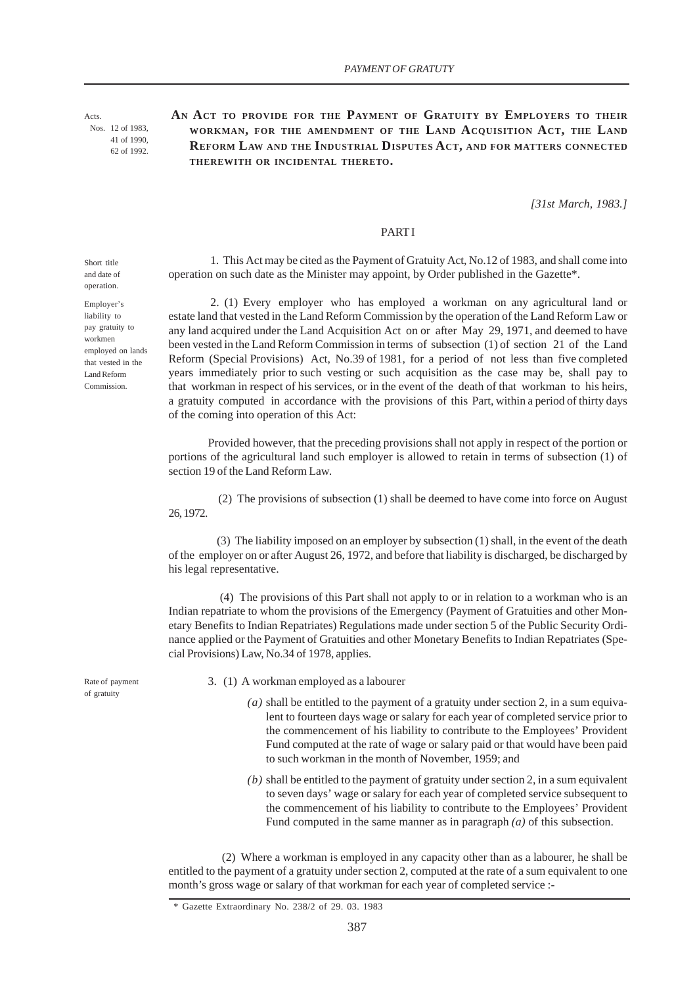Acts. Nos. 12 of 1983, 41 of 1990, 62 of 1992.

# **AN ACT TO PROVIDE FOR THE PAYMENT OF GRATUITY BY EMPLOYERS TO THEIR WORKMAN, FOR THE AMENDMENT OF THE LAND ACQUISITION ACT, THE LAND REFORM LAW AND THE INDUSTRIAL DISPUTES ACT, AND FOR MATTERS CONNECTED THEREWITH OR INCIDENTAL THERETO.**

*[31st March, 1983.]*

## **PART I**

operation on such date as the Minister may appoint, by Order published in the Gazette\*.

1. This Act may be cited as the Payment of Gratuity Act, No.12 of 1983, and shall come into

Short title and date of operation.

Employer's liability to pay gratuity to workmen employed on lands that vested in the Land Reform Commission.

 2. (1) Every employer who has employed a workman on any agricultural land or estate land that vested in the Land Reform Commission by the operation of the Land Reform Law or any land acquired under the Land Acquisition Act on or after May 29, 1971, and deemed to have been vested in the Land Reform Commission in terms of subsection (1) of section 21 of the Land Reform (Special Provisions) Act, No.39 of 1981, for a period of not less than five completed years immediately prior to such vesting or such acquisition as the case may be, shall pay to that workman in respect of his services, or in the event of the death of that workman to his heirs, a gratuity computed in accordance with the provisions of this Part, within a period of thirty days of the coming into operation of this Act:

Provided however, that the preceding provisions shall not apply in respect of the portion or portions of the agricultural land such employer is allowed to retain in terms of subsection (1) of section 19 of the Land Reform Law.

 (2) The provisions of subsection (1) shall be deemed to have come into force on August 26, 1972.

 (3) The liability imposed on an employer by subsection (1) shall, in the event of the death of the employer on or after August 26, 1972, and before that liability is discharged, be discharged by his legal representative.

 (4) The provisions of this Part shall not apply to or in relation to a workman who is an Indian repatriate to whom the provisions of the Emergency (Payment of Gratuities and other Monetary Benefits to Indian Repatriates) Regulations made under section 5 of the Public Security Ordinance applied or the Payment of Gratuities and other Monetary Benefits to Indian Repatriates (Special Provisions) Law, No.34 of 1978, applies.

3. (1) A workman employed as a labourer

- $(a)$  shall be entitled to the payment of a gratuity under section 2, in a sum equivalent to fourteen days wage or salary for each year of completed service prior to the commencement of his liability to contribute to the Employees' Provident Fund computed at the rate of wage or salary paid or that would have been paid to such workman in the month of November, 1959; and
- *(b)* shall be entitled to the payment of gratuity under section 2, in a sum equivalent to seven days' wage or salary for each year of completed service subsequent to the commencement of his liability to contribute to the Employees' Provident Fund computed in the same manner as in paragraph *(a)* of this subsection.

 (2) Where a workman is employed in any capacity other than as a labourer, he shall be entitled to the payment of a gratuity under section 2, computed at the rate of a sum equivalent to one month's gross wage or salary of that workman for each year of completed service :-

Rate of payment of gratuity

<sup>\*</sup> Gazette Extraordinary No. 238/2 of 29. 03. 1983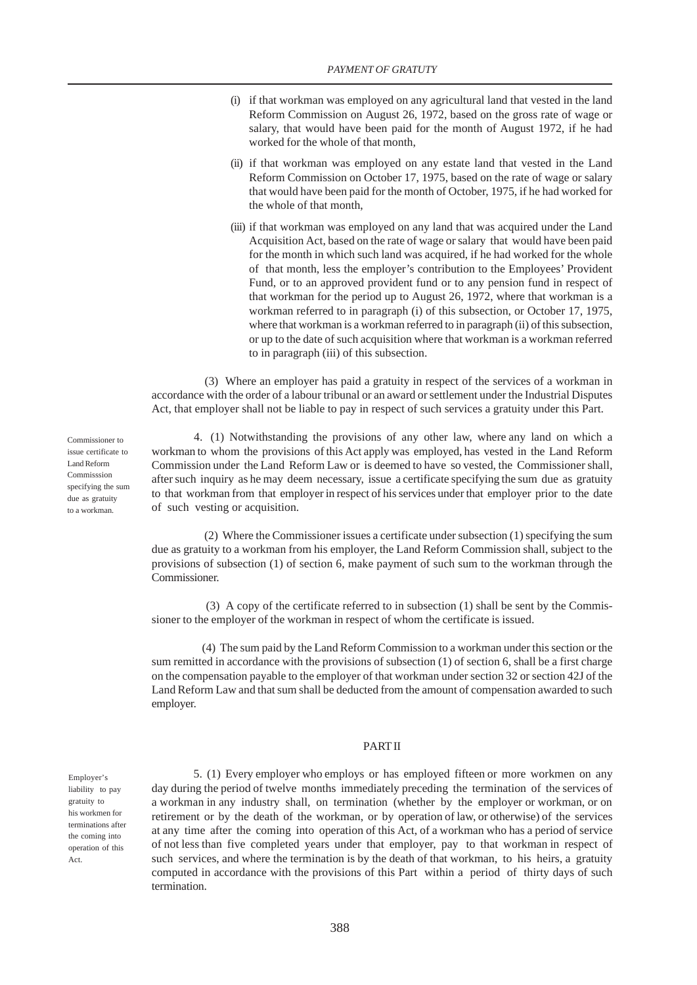- (i) if that workman was employed on any agricultural land that vested in the land Reform Commission on August 26, 1972, based on the gross rate of wage or salary, that would have been paid for the month of August 1972, if he had worked for the whole of that month,
- (ii) if that workman was employed on any estate land that vested in the Land Reform Commission on October 17, 1975, based on the rate of wage or salary that would have been paid for the month of October, 1975, if he had worked for the whole of that month,
- (iii) if that workman was employed on any land that was acquired under the Land Acquisition Act, based on the rate of wage or salary that would have been paid for the month in which such land was acquired, if he had worked for the whole of that month, less the employer's contribution to the Employees' Provident Fund, or to an approved provident fund or to any pension fund in respect of that workman for the period up to August 26, 1972, where that workman is a workman referred to in paragraph (i) of this subsection, or October 17, 1975, where that workman is a workman referred to in paragraph (ii) of this subsection, or up to the date of such acquisition where that workman is a workman referred to in paragraph (iii) of this subsection.

 (3) Where an employer has paid a gratuity in respect of the services of a workman in accordance with the order of a labour tribunal or an award or settlement under the Industrial Disputes Act, that employer shall not be liable to pay in respect of such services a gratuity under this Part.

 4. (1) Notwithstanding the provisions of any other law, where any land on which a workman to whom the provisions of this Act apply was employed, has vested in the Land Reform Commission under the Land Reform Law or is deemed to have so vested, the Commissioner shall, after such inquiry as he may deem necessary, issue a certificate specifying the sum due as gratuity to that workman from that employer in respect of his services under that employer prior to the date of such vesting or acquisition.

 (2) Where the Commissioner issues a certificate under subsection (1) specifying the sum due as gratuity to a workman from his employer, the Land Reform Commission shall, subject to the provisions of subsection (1) of section 6, make payment of such sum to the workman through the Commissioner.

 (3) A copy of the certificate referred to in subsection (1) shall be sent by the Commissioner to the employer of the workman in respect of whom the certificate is issued.

 (4) The sum paid by the Land Reform Commission to a workman under this section or the sum remitted in accordance with the provisions of subsection (1) of section 6, shall be a first charge on the compensation payable to the employer of that workman under section 32 or section 42J of the Land Reform Law and that sum shall be deducted from the amount of compensation awarded to such employer.

#### PART II

Employer's liability to pay gratuity to his workmen for terminations after the coming into operation of this Act.

 5. (1) Every employer who employs or has employed fifteen or more workmen on any day during the period of twelve months immediately preceding the termination of the services of a workman in any industry shall, on termination (whether by the employer or workman, or on retirement or by the death of the workman, or by operation of law, or otherwise) of the services at any time after the coming into operation of this Act, of a workman who has a period of service of not less than five completed years under that employer, pay to that workman in respect of such services, and where the termination is by the death of that workman, to his heirs, a gratuity computed in accordance with the provisions of this Part within a period of thirty days of such termination.

Commissioner to issue certificate to Land Reform Commisssion specifying the sum due as gratuity to a workman.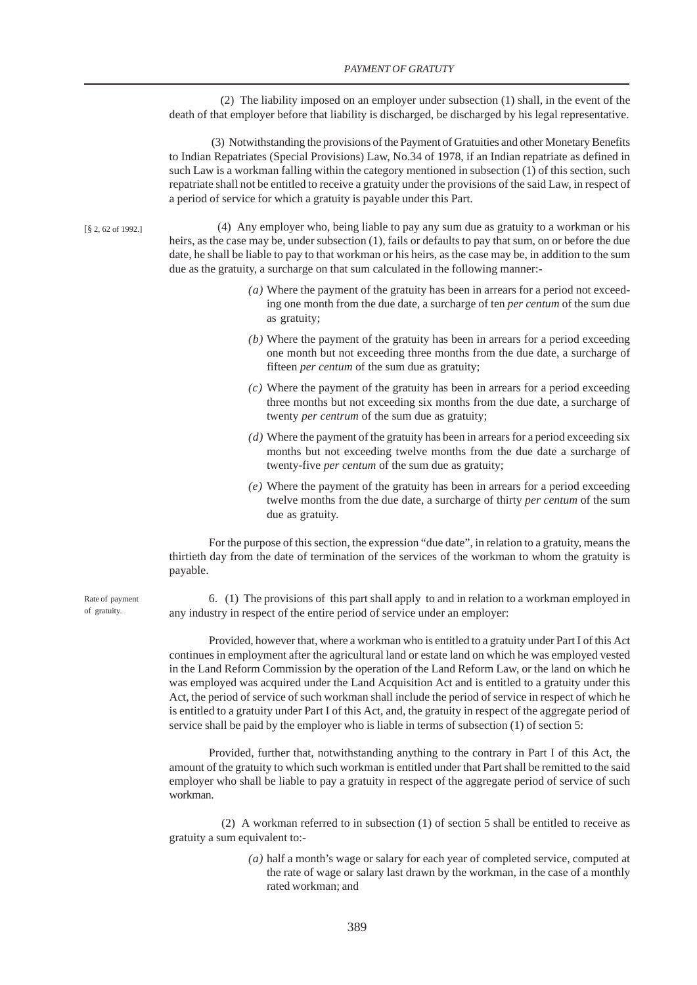(2) The liability imposed on an employer under subsection (1) shall, in the event of the death of that employer before that liability is discharged, be discharged by his legal representative.

(3) Notwithstanding the provisions of the Payment of Gratuities and other Monetary Benefits to Indian Repatriates (Special Provisions) Law, No.34 of 1978, if an Indian repatriate as defined in such Law is a workman falling within the category mentioned in subsection (1) of this section, such repatriate shall not be entitled to receive a gratuity under the provisions of the said Law, in respect of a period of service for which a gratuity is payable under this Part.

[§ 2, 62 of 1992.]

 (4) Any employer who, being liable to pay any sum due as gratuity to a workman or his heirs, as the case may be, under subsection (1), fails or defaults to pay that sum, on or before the due date, he shall be liable to pay to that workman or his heirs, as the case may be, in addition to the sum due as the gratuity, a surcharge on that sum calculated in the following manner:-

- *(a)* Where the payment of the gratuity has been in arrears for a period not exceeding one month from the due date, a surcharge of ten *per centum* of the sum due as gratuity;
- *(b)* Where the payment of the gratuity has been in arrears for a period exceeding one month but not exceeding three months from the due date, a surcharge of fifteen *per centum* of the sum due as gratuity;
- *(c)* Where the payment of the gratuity has been in arrears for a period exceeding three months but not exceeding six months from the due date, a surcharge of twenty *per centrum* of the sum due as gratuity;
- *(d)* Where the payment of the gratuity has been in arrears for a period exceeding six months but not exceeding twelve months from the due date a surcharge of twenty-five *per centum* of the sum due as gratuity;
- *(e)* Where the payment of the gratuity has been in arrears for a period exceeding twelve months from the due date, a surcharge of thirty *per centum* of the sum due as gratuity.

For the purpose of this section, the expression "due date", in relation to a gratuity, means the thirtieth day from the date of termination of the services of the workman to whom the gratuity is payable.

6. (1) The provisions of this part shall apply to and in relation to a workman employed in any industry in respect of the entire period of service under an employer:

Provided, however that, where a workman who is entitled to a gratuity under Part I of this Act continues in employment after the agricultural land or estate land on which he was employed vested in the Land Reform Commission by the operation of the Land Reform Law, or the land on which he was employed was acquired under the Land Acquisition Act and is entitled to a gratuity under this Act, the period of service of such workman shall include the period of service in respect of which he is entitled to a gratuity under Part I of this Act, and, the gratuity in respect of the aggregate period of service shall be paid by the employer who is liable in terms of subsection (1) of section 5:

Provided, further that, notwithstanding anything to the contrary in Part I of this Act, the amount of the gratuity to which such workman is entitled under that Part shall be remitted to the said employer who shall be liable to pay a gratuity in respect of the aggregate period of service of such workman.

 (2) A workman referred to in subsection (1) of section 5 shall be entitled to receive as gratuity a sum equivalent to:-

> *(a)* half a month's wage or salary for each year of completed service, computed at the rate of wage or salary last drawn by the workman, in the case of a monthly rated workman; and

Rate of payment of gratuity.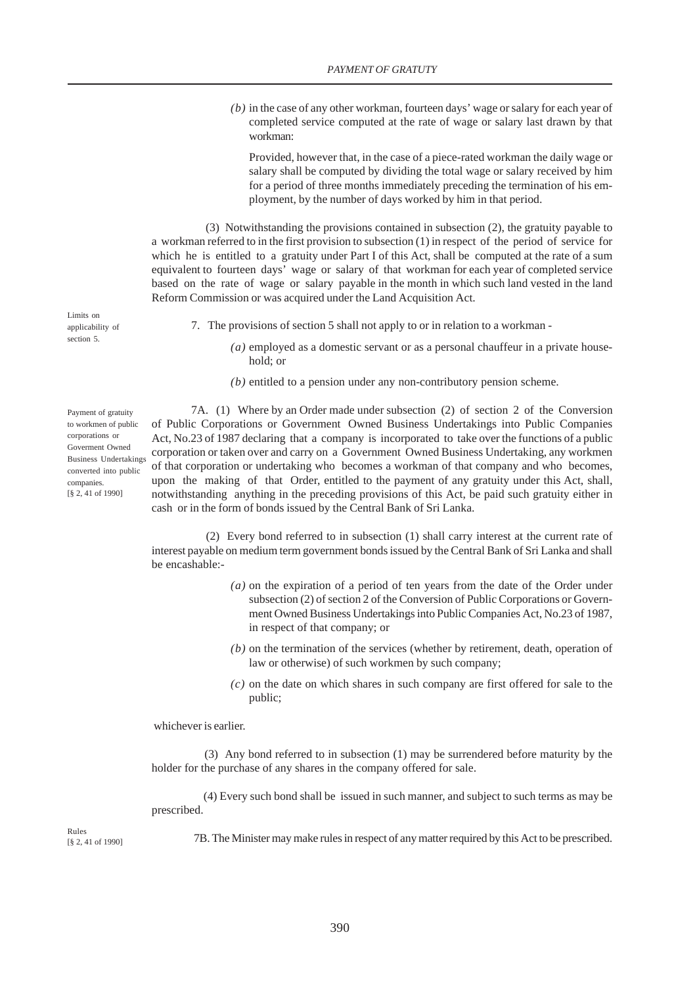*(b)* in the case of any other workman, fourteen days' wage or salary for each year of completed service computed at the rate of wage or salary last drawn by that workman:

Provided, however that, in the case of a piece-rated workman the daily wage or salary shall be computed by dividing the total wage or salary received by him for a period of three months immediately preceding the termination of his employment, by the number of days worked by him in that period.

 (3) Notwithstanding the provisions contained in subsection (2), the gratuity payable to a workman referred to in the first provision to subsection (1) in respect of the period of service for which he is entitled to a gratuity under Part I of this Act, shall be computed at the rate of a sum equivalent to fourteen days' wage or salary of that workman for each year of completed service based on the rate of wage or salary payable in the month in which such land vested in the land Reform Commission or was acquired under the Land Acquisition Act.

Limits on applicability of section 5.

Payment of gratuity to workmen of public corporations or Goverment Owned

converted into public companies. [§ 2, 41 of 1990]

- 7. The provisions of section 5 shall not apply to or in relation to a workman
	- *(a)* employed as a domestic servant or as a personal chauffeur in a private household; or
	- *(b)* entitled to a pension under any non-contributory pension scheme.

7A. (1) Where by an Order made under subsection (2) of section 2 of the Conversion of Public Corporations or Government Owned Business Undertakings into Public Companies Act, No.23 of 1987 declaring that a company is incorporated to take over the functions of a public corporation or taken over and carry on a Government Owned Business Undertaking, any workmen of that corporation or undertaking who becomes a workman of that company and who becomes, upon the making of that Order, entitled to the payment of any gratuity under this Act, shall, notwithstanding anything in the preceding provisions of this Act, be paid such gratuity either in cash or in the form of bonds issued by the Central Bank of Sri Lanka. Business Undertakings

> (2) Every bond referred to in subsection (1) shall carry interest at the current rate of interest payable on medium term government bonds issued by the Central Bank of Sri Lanka and shall be encashable:-

- *(a)* on the expiration of a period of ten years from the date of the Order under subsection (2) of section 2 of the Conversion of Public Corporations or Government Owned Business Undertakings into Public Companies Act, No.23 of 1987, in respect of that company; or
- *(b)* on the termination of the services (whether by retirement, death, operation of law or otherwise) of such workmen by such company;
- *(c)* on the date on which shares in such company are first offered for sale to the public;

whichever is earlier.

 (3) Any bond referred to in subsection (1) may be surrendered before maturity by the holder for the purchase of any shares in the company offered for sale.

 (4) Every such bond shall be issued in such manner, and subject to such terms as may be prescribed.

Rules [§ 2, 41 of 1990]

7B. The Minister may make rules in respect of any matter required by this Act to be prescribed.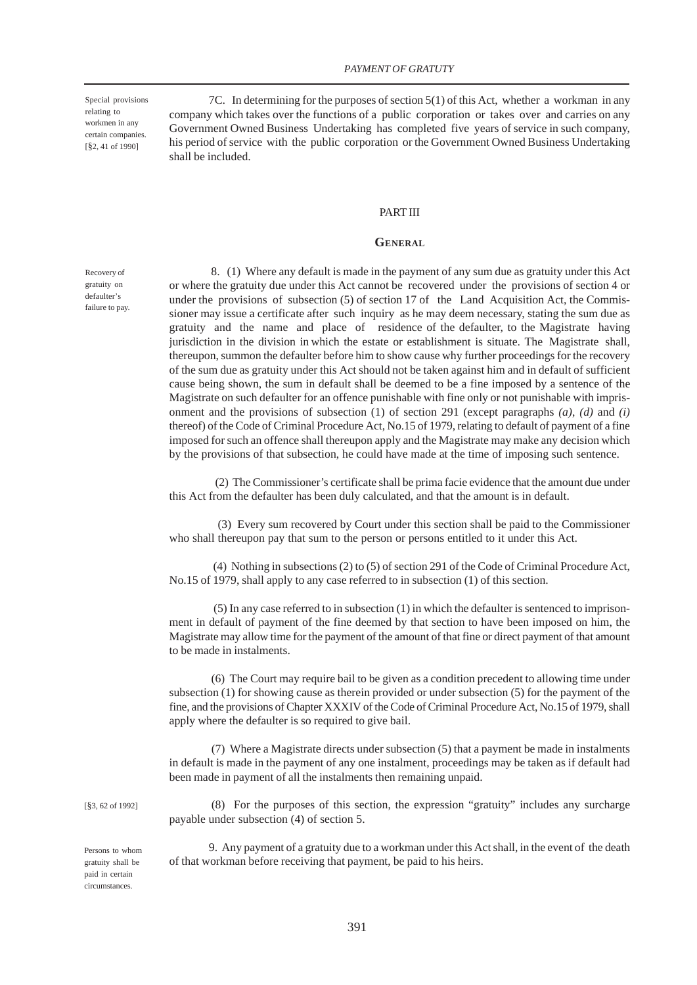Special provisions relating to workmen in any certain companies. [§2, 41 of 1990]

7C. In determining for the purposes of section 5(1) of this Act, whether a workman in any company which takes over the functions of a public corporation or takes over and carries on any Government Owned Business Undertaking has completed five years of service in such company, his period of service with the public corporation or the Government Owned Business Undertaking shall be included.

### PART III

#### **GENERAL**

Recovery of gratuity on defaulter's failure to pay.

 8. (1) Where any default is made in the payment of any sum due as gratuity under this Act or where the gratuity due under this Act cannot be recovered under the provisions of section 4 or under the provisions of subsection (5) of section 17 of the Land Acquisition Act, the Commissioner may issue a certificate after such inquiry as he may deem necessary, stating the sum due as gratuity and the name and place of residence of the defaulter, to the Magistrate having jurisdiction in the division in which the estate or establishment is situate. The Magistrate shall, thereupon, summon the defaulter before him to show cause why further proceedings for the recovery of the sum due as gratuity under this Act should not be taken against him and in default of sufficient cause being shown, the sum in default shall be deemed to be a fine imposed by a sentence of the Magistrate on such defaulter for an offence punishable with fine only or not punishable with imprisonment and the provisions of subsection (1) of section 291 (except paragraphs *(a)*, *(d)* and *(i)* thereof) of the Code of Criminal Procedure Act, No.15 of 1979, relating to default of payment of a fine imposed for such an offence shall thereupon apply and the Magistrate may make any decision which by the provisions of that subsection, he could have made at the time of imposing such sentence.

 (2) The Commissioner's certificate shall be prima facie evidence that the amount due under this Act from the defaulter has been duly calculated, and that the amount is in default.

 (3) Every sum recovered by Court under this section shall be paid to the Commissioner who shall thereupon pay that sum to the person or persons entitled to it under this Act.

 (4) Nothing in subsections (2) to (5) of section 291 of the Code of Criminal Procedure Act, No.15 of 1979, shall apply to any case referred to in subsection (1) of this section.

 (5) In any case referred to in subsection (1) in which the defaulter is sentenced to imprisonment in default of payment of the fine deemed by that section to have been imposed on him, the Magistrate may allow time for the payment of the amount of that fine or direct payment of that amount to be made in instalments.

 (6) The Court may require bail to be given as a condition precedent to allowing time under subsection (1) for showing cause as therein provided or under subsection (5) for the payment of the fine, and the provisions of Chapter XXXIV of the Code of Criminal Procedure Act, No.15 of 1979, shall apply where the defaulter is so required to give bail.

(7) Where a Magistrate directs under subsection (5) that a payment be made in instalments in default is made in the payment of any one instalment, proceedings may be taken as if default had been made in payment of all the instalments then remaining unpaid.

[§3, 62 of 1992]

Persons to whom gratuity shall be paid in certain circumstances.

payable under subsection (4) of section 5. 9. Any payment of a gratuity due to a workman under this Act shall, in the event of the death

(8) For the purposes of this section, the expression "gratuity" includes any surcharge

of that workman before receiving that payment, be paid to his heirs.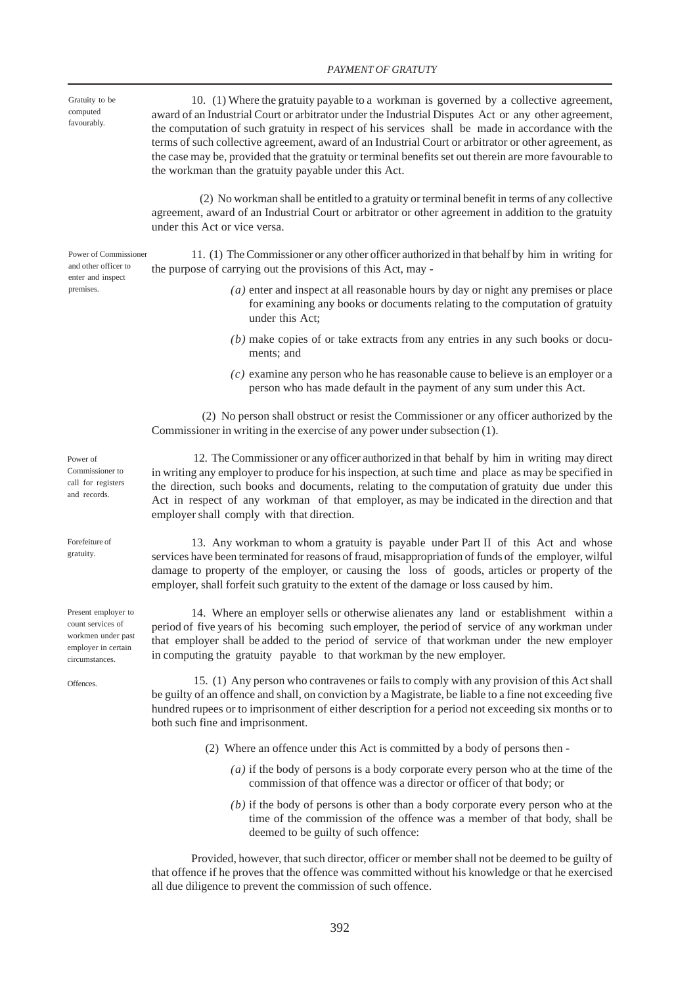### *PAYMENT OF GRATUTY*

Gratuity to be computed favourably.

Power of Commissioner and other officer to enter and inspect premises.

10. (1) Where the gratuity payable to a workman is governed by a collective agreement, award of an Industrial Court or arbitrator under the Industrial Disputes Act or any other agreement, the computation of such gratuity in respect of his services shall be made in accordance with the terms of such collective agreement, award of an Industrial Court or arbitrator or other agreement, as the case may be, provided that the gratuity or terminal benefits set out therein are more favourable to the workman than the gratuity payable under this Act.

 (2) No workman shall be entitled to a gratuity or terminal benefit in terms of any collective agreement, award of an Industrial Court or arbitrator or other agreement in addition to the gratuity under this Act or vice versa.

11. (1) The Commissioner or any other officer authorized in that behalf by him in writing for the purpose of carrying out the provisions of this Act, may -

- *(a)* enter and inspect at all reasonable hours by day or night any premises or place for examining any books or documents relating to the computation of gratuity under this Act;
- *(b)* make copies of or take extracts from any entries in any such books or documents; and
- *(c)* examine any person who he has reasonable cause to believe is an employer or a person who has made default in the payment of any sum under this Act.

 (2) No person shall obstruct or resist the Commissioner or any officer authorized by the Commissioner in writing in the exercise of any power under subsection (1).

 12. The Commissioner or any officer authorized in that behalf by him in writing may direct in writing any employer to produce for his inspection, at such time and place as may be specified in the direction, such books and documents, relating to the computation of gratuity due under this Act in respect of any workman of that employer, as may be indicated in the direction and that employer shall comply with that direction.

13. Any workman to whom a gratuity is payable under Part II of this Act and whose services have been terminated for reasons of fraud, misappropriation of funds of the employer, wilful damage to property of the employer, or causing the loss of goods, articles or property of the employer, shall forfeit such gratuity to the extent of the damage or loss caused by him.

14. Where an employer sells or otherwise alienates any land or establishment within a period of five years of his becoming such employer, the period of service of any workman under that employer shall be added to the period of service of that workman under the new employer in computing the gratuity payable to that workman by the new employer.

 15. (1) Any person who contravenes or fails to comply with any provision of this Act shall be guilty of an offence and shall, on conviction by a Magistrate, be liable to a fine not exceeding five hundred rupees or to imprisonment of either description for a period not exceeding six months or to both such fine and imprisonment.

- (2) Where an offence under this Act is committed by a body of persons then
	- *(a)* if the body of persons is a body corporate every person who at the time of the commission of that offence was a director or officer of that body; or
	- *(b)* if the body of persons is other than a body corporate every person who at the time of the commission of the offence was a member of that body, shall be deemed to be guilty of such offence:

Provided, however, that such director, officer or member shall not be deemed to be guilty of that offence if he proves that the offence was committed without his knowledge or that he exercised all due diligence to prevent the commission of such offence.

Power of Commissioner to call for registers and records.

Forefeiture of gratuity.

Present employer to count services of workmen under past employer in certain circumstances.

**Offences**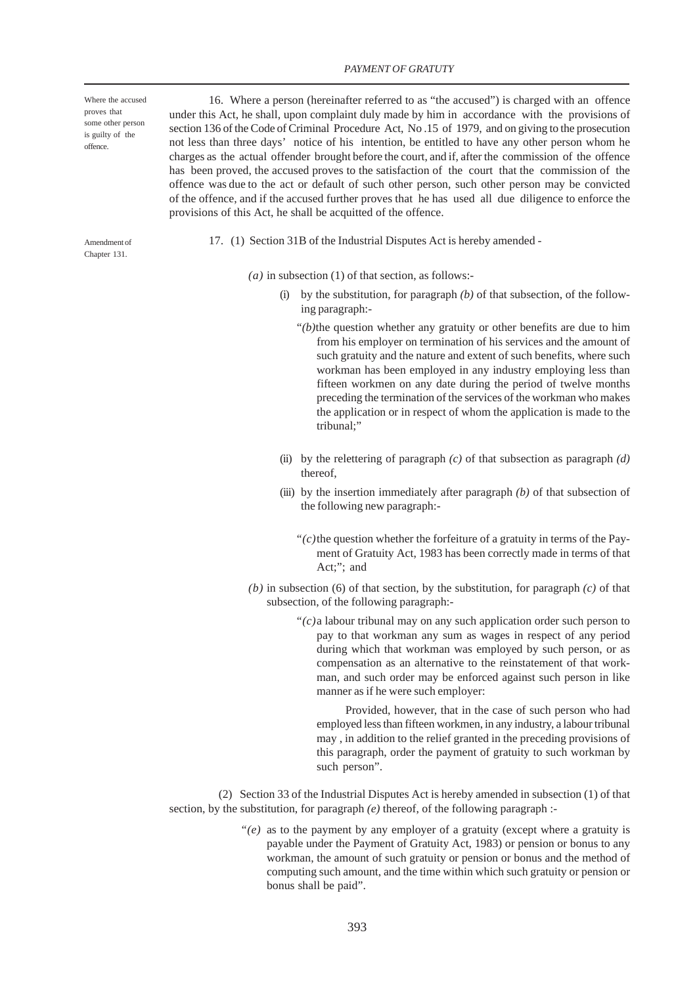#### *PAYMENT OF GRATUTY*

Where the accused proves that some other person is guilty of the offence.

16. Where a person (hereinafter referred to as "the accused") is charged with an offence under this Act, he shall, upon complaint duly made by him in accordance with the provisions of section 136 of the Code of Criminal Procedure Act, No .15 of 1979, and on giving to the prosecution not less than three days' notice of his intention, be entitled to have any other person whom he charges as the actual offender brought before the court, and if, after the commission of the offence has been proved, the accused proves to the satisfaction of the court that the commission of the offence was due to the act or default of such other person, such other person may be convicted of the offence, and if the accused further proves that he has used all due diligence to enforce the provisions of this Act, he shall be acquitted of the offence.

Amendment of Chapter 131.

17. (1) Section 31B of the Industrial Disputes Act is hereby amended -

*(a)* in subsection (1) of that section, as follows:-

- (i) by the substitution, for paragraph *(b)* of that subsection, of the following paragraph:-
	- *"(b)*the question whether any gratuity or other benefits are due to him from his employer on termination of his services and the amount of such gratuity and the nature and extent of such benefits, where such workman has been employed in any industry employing less than fifteen workmen on any date during the period of twelve months preceding the termination of the services of the workman who makes the application or in respect of whom the application is made to the tribunal;"
- (ii) by the relettering of paragraph *(c)* of that subsection as paragraph *(d)* thereof,
- (iii) by the insertion immediately after paragraph *(b)* of that subsection of the following new paragraph:-
	- *"(c)*the question whether the forfeiture of a gratuity in terms of the Payment of Gratuity Act, 1983 has been correctly made in terms of that Act;"; and
- *(b)* in subsection (6) of that section, by the substitution, for paragraph *(c)* of that subsection, of the following paragraph:-
	- *"(c)*a labour tribunal may on any such application order such person to pay to that workman any sum as wages in respect of any period during which that workman was employed by such person, or as compensation as an alternative to the reinstatement of that workman, and such order may be enforced against such person in like manner as if he were such employer:

 Provided, however, that in the case of such person who had employed less than fifteen workmen, in any industry, a labour tribunal may , in addition to the relief granted in the preceding provisions of this paragraph, order the payment of gratuity to such workman by such person".

 (2) Section 33 of the Industrial Disputes Act is hereby amended in subsection (1) of that section, by the substitution, for paragraph *(e)* thereof, of the following paragraph :-

> *"(e)* as to the payment by any employer of a gratuity (except where a gratuity is payable under the Payment of Gratuity Act, 1983) or pension or bonus to any workman, the amount of such gratuity or pension or bonus and the method of computing such amount, and the time within which such gratuity or pension or bonus shall be paid".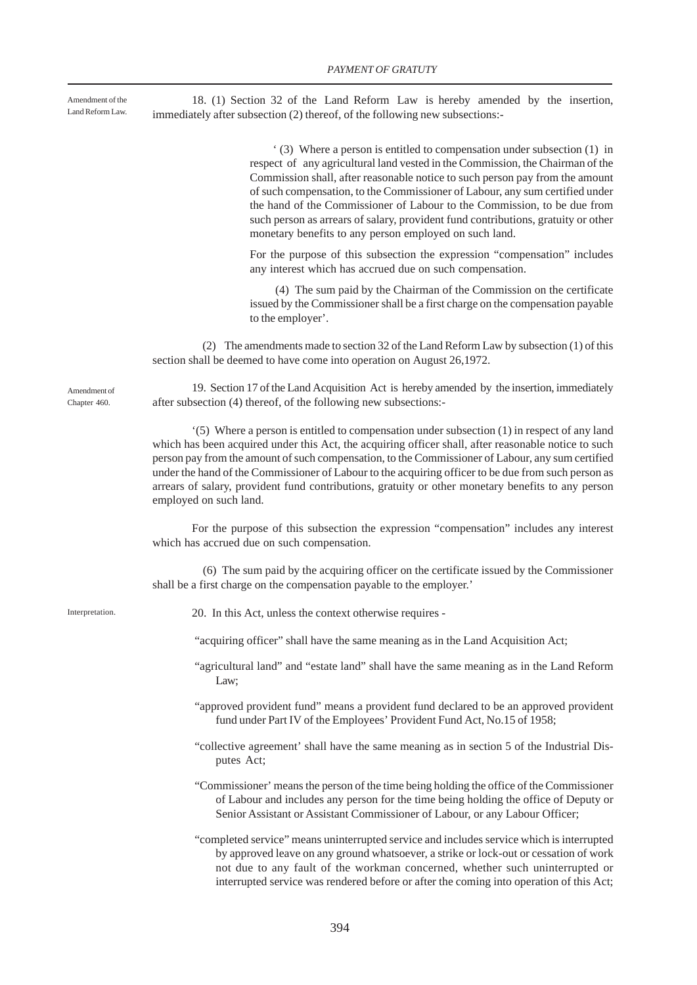Amendment of the Land Reform Law.

18. (1) Section 32 of the Land Reform Law is hereby amended by the insertion, immediately after subsection (2) thereof, of the following new subsections:-

> ' (3) Where a person is entitled to compensation under subsection (1) in respect of any agricultural land vested in the Commission, the Chairman of the Commission shall, after reasonable notice to such person pay from the amount of such compensation, to the Commissioner of Labour, any sum certified under the hand of the Commissioner of Labour to the Commission, to be due from such person as arrears of salary, provident fund contributions, gratuity or other monetary benefits to any person employed on such land.

> For the purpose of this subsection the expression "compensation" includes any interest which has accrued due on such compensation.

> (4) The sum paid by the Chairman of the Commission on the certificate issued by the Commissioner shall be a first charge on the compensation payable to the employer'.

 (2) The amendments made to section 32 of the Land Reform Law by subsection (1) of this section shall be deemed to have come into operation on August 26,1972.

Amendment of Chapter 460

19. Section 17 of the Land Acquisition Act is hereby amended by the insertion, immediately after subsection (4) thereof, of the following new subsections:-

'(5) Where a person is entitled to compensation under subsection (1) in respect of any land which has been acquired under this Act, the acquiring officer shall, after reasonable notice to such person pay from the amount of such compensation, to the Commissioner of Labour, any sum certified under the hand of the Commissioner of Labour to the acquiring officer to be due from such person as arrears of salary, provident fund contributions, gratuity or other monetary benefits to any person employed on such land.

For the purpose of this subsection the expression "compensation" includes any interest which has accrued due on such compensation.

 (6) The sum paid by the acquiring officer on the certificate issued by the Commissioner shall be a first charge on the compensation payable to the employer.'

Interpretation

20. In this Act, unless the context otherwise requires -

"acquiring officer" shall have the same meaning as in the Land Acquisition Act;

- "agricultural land" and "estate land" shall have the same meaning as in the Land Reform Law;
- "approved provident fund" means a provident fund declared to be an approved provident fund under Part IV of the Employees' Provident Fund Act, No.15 of 1958;
- "collective agreement' shall have the same meaning as in section 5 of the Industrial Disputes Act;
- "Commissioner' means the person of the time being holding the office of the Commissioner of Labour and includes any person for the time being holding the office of Deputy or Senior Assistant or Assistant Commissioner of Labour, or any Labour Officer;
- "completed service" means uninterrupted service and includes service which is interrupted by approved leave on any ground whatsoever, a strike or lock-out or cessation of work not due to any fault of the workman concerned, whether such uninterrupted or interrupted service was rendered before or after the coming into operation of this Act;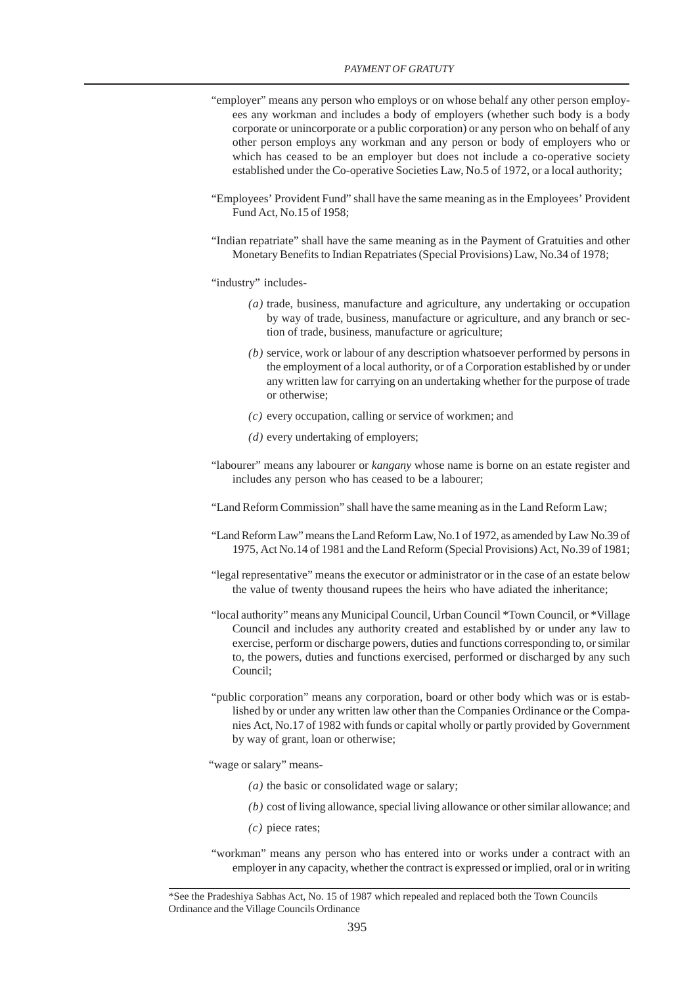- "employer" means any person who employs or on whose behalf any other person employees any workman and includes a body of employers (whether such body is a body corporate or unincorporate or a public corporation) or any person who on behalf of any other person employs any workman and any person or body of employers who or which has ceased to be an employer but does not include a co-operative society established under the Co-operative Societies Law, No.5 of 1972, or a local authority;
- "Employees' Provident Fund" shall have the same meaning as in the Employees' Provident Fund Act, No.15 of 1958;
- "Indian repatriate" shall have the same meaning as in the Payment of Gratuities and other Monetary Benefits to Indian Repatriates (Special Provisions) Law, No.34 of 1978;

"industry" includes-

- *(a)* trade, business, manufacture and agriculture, any undertaking or occupation by way of trade, business, manufacture or agriculture, and any branch or section of trade, business, manufacture or agriculture;
- *(b)* service, work or labour of any description whatsoever performed by persons in the employment of a local authority, or of a Corporation established by or under any written law for carrying on an undertaking whether for the purpose of trade or otherwise;
- *(c)* every occupation, calling or service of workmen; and
- *(d)* every undertaking of employers;
- "labourer" means any labourer or *kangany* whose name is borne on an estate register and includes any person who has ceased to be a labourer;

"Land Reform Commission" shall have the same meaning as in the Land Reform Law;

- "Land Reform Law" means the Land Reform Law, No.1 of 1972, as amended by Law No.39 of 1975, Act No.14 of 1981 and the Land Reform (Special Provisions) Act, No.39 of 1981;
- "legal representative" means the executor or administrator or in the case of an estate below the value of twenty thousand rupees the heirs who have adiated the inheritance;
- "local authority" means any Municipal Council, Urban Council \*Town Council, or \*Village Council and includes any authority created and established by or under any law to exercise, perform or discharge powers, duties and functions corresponding to, or similar to, the powers, duties and functions exercised, performed or discharged by any such Council;
- "public corporation" means any corporation, board or other body which was or is established by or under any written law other than the Companies Ordinance or the Companies Act, No.17 of 1982 with funds or capital wholly or partly provided by Government by way of grant, loan or otherwise;
- "wage or salary" means-
	- *(a)* the basic or consolidated wage or salary;
	- *(b)* cost of living allowance, special living allowance or other similar allowance; and
	- *(c)* piece rates;
- "workman" means any person who has entered into or works under a contract with an employer in any capacity, whether the contract is expressed or implied, oral or in writing

<sup>\*</sup>See the Pradeshiya Sabhas Act, No. 15 of 1987 which repealed and replaced both the Town Councils Ordinance and the Village Councils Ordinance